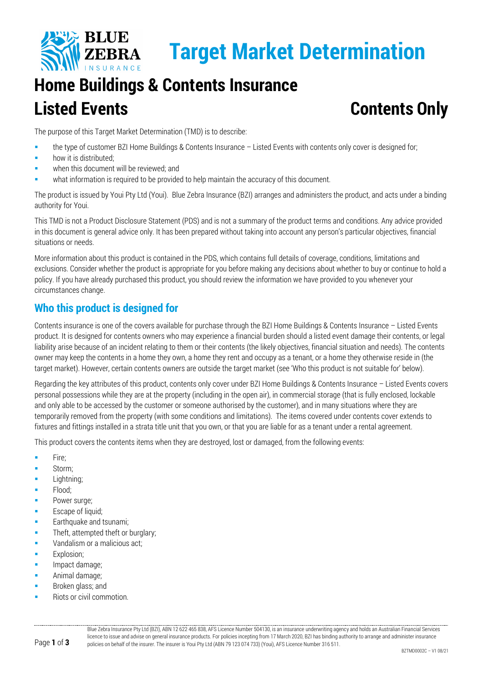

# **Target Market Determination**

## **Home Buildings & Contents Insurance Listed Events Contents Only**

The purpose of this Target Market Determination (TMD) is to describe:

- the type of customer BZI Home Buildings & Contents Insurance Listed Events with contents only cover is designed for;
- how it is distributed;
- when this document will be reviewed; and
- what information is required to be provided to help maintain the accuracy of this document.

The product is issued by Youi Pty Ltd (Youi). Blue Zebra Insurance (BZI) arranges and administers the product, and acts under a binding authority for Youi.

This TMD is not a Product Disclosure Statement (PDS) and is not a summary of the product terms and conditions. Any advice provided in this document is general advice only. It has been prepared without taking into account any person's particular objectives, financial situations or needs.

More information about this product is contained in the PDS, which contains full details of coverage, conditions, limitations and exclusions. Consider whether the product is appropriate for you before making any decisions about whether to buy or continue to hold a policy. If you have already purchased this product, you should review the information we have provided to you whenever your circumstances change.

#### **Who this product is designed for**

Contents insurance is one of the covers available for purchase through the BZI Home Buildings & Contents Insurance – Listed Events product. It is designed for contents owners who may experience a financial burden should a listed event damage their contents, or legal liability arise because of an incident relating to them or their contents (the likely objectives, financial situation and needs). The contents owner may keep the contents in a home they own, a home they rent and occupy as a tenant, or a home they otherwise reside in (the target market). However, certain contents owners are outside the target market (see 'Who this product is not suitable for' below).

Regarding the key attributes of this product, contents only cover under BZI Home Buildings & Contents Insurance – Listed Events covers personal possessions while they are at the property (including in the open air), in commercial storage (that is fully enclosed, lockable and only able to be accessed by the customer or someone authorised by the customer), and in many situations where they are temporarily removed from the property (with some conditions and limitations). The items covered under contents cover extends to fixtures and fittings installed in a strata title unit that you own, or that you are liable for as a tenant under a rental agreement.

This product covers the contents items when they are destroyed, lost or damaged, from the following events:

- Fire;
- **Storm**;
- **Lightning**;
- Flood;
- Power surge;
- **Escape of liquid;**
- Earthquake and tsunami;
- Theft, attempted theft or burglary;
- **Vandalism or a malicious act:**
- **Explosion;**
- Impact damage;
- **Animal damage;**
- **Broken glass; and**
- Riots or civil commotion.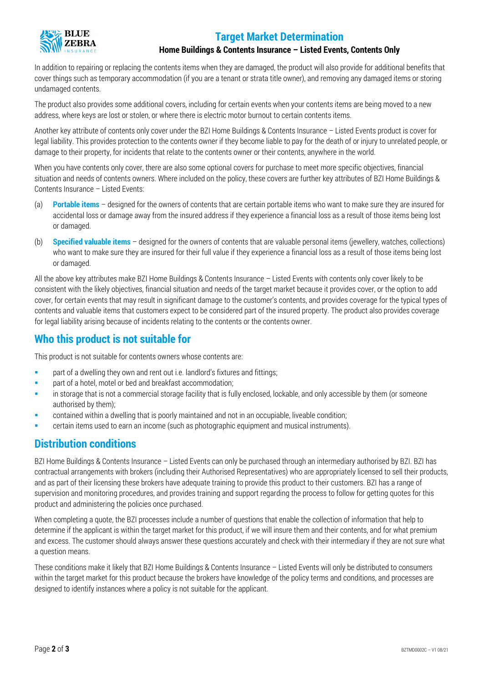### **Target Market Determination**



#### **Home Buildings & Contents Insurance – Listed Events, Contents Only**

In addition to repairing or replacing the contents items when they are damaged, the product will also provide for additional benefits that cover things such as temporary accommodation (if you are a tenant or strata title owner), and removing any damaged items or storing undamaged contents.

The product also provides some additional covers, including for certain events when your contents items are being moved to a new address, where keys are lost or stolen, or where there is electric motor burnout to certain contents items.

Another key attribute of contents only cover under the BZI Home Buildings & Contents Insurance – Listed Events product is cover for legal liability. This provides protection to the contents owner if they become liable to pay for the death of or injury to unrelated people, or damage to their property, for incidents that relate to the contents owner or their contents, anywhere in the world.

When you have contents only cover, there are also some optional covers for purchase to meet more specific objectives, financial situation and needs of contents owners. Where included on the policy, these covers are further key attributes of BZI Home Buildings & Contents Insurance – Listed Events:

- (a) **Portable items** designed for the owners of contents that are certain portable items who want to make sure they are insured for accidental loss or damage away from the insured address if they experience a financial loss as a result of those items being lost or damaged.
- (b) **Specified valuable items** designed for the owners of contents that are valuable personal items (jewellery, watches, collections) who want to make sure they are insured for their full value if they experience a financial loss as a result of those items being lost or damaged.

All the above key attributes make BZI Home Buildings & Contents Insurance – Listed Events with contents only cover likely to be consistent with the likely objectives, financial situation and needs of the target market because it provides cover, or the option to add cover, for certain events that may result in significant damage to the customer's contents, and provides coverage for the typical types of contents and valuable items that customers expect to be considered part of the insured property. The product also provides coverage for legal liability arising because of incidents relating to the contents or the contents owner.

#### **Who this product is not suitable for**

This product is not suitable for contents owners whose contents are:

- **EXECT** part of a dwelling they own and rent out i.e. landlord's fixtures and fittings;
- part of a hotel, motel or bed and breakfast accommodation;
- in storage that is not a commercial storage facility that is fully enclosed, lockable, and only accessible by them (or someone authorised by them);
- contained within a dwelling that is poorly maintained and not in an occupiable, liveable condition;
- certain items used to earn an income (such as photographic equipment and musical instruments).

#### **Distribution conditions**

BZI Home Buildings & Contents Insurance – Listed Events can only be purchased through an intermediary authorised by BZI. BZI has contractual arrangements with brokers (including their Authorised Representatives) who are appropriately licensed to sell their products, and as part of their licensing these brokers have adequate training to provide this product to their customers. BZI has a range of supervision and monitoring procedures, and provides training and support regarding the process to follow for getting quotes for this product and administering the policies once purchased.

When completing a quote, the BZI processes include a number of questions that enable the collection of information that help to determine if the applicant is within the target market for this product, if we will insure them and their contents, and for what premium and excess. The customer should always answer these questions accurately and check with their intermediary if they are not sure what a question means.

These conditions make it likely that BZI Home Buildings & Contents Insurance – Listed Events will only be distributed to consumers within the target market for this product because the brokers have knowledge of the policy terms and conditions, and processes are designed to identify instances where a policy is not suitable for the applicant.